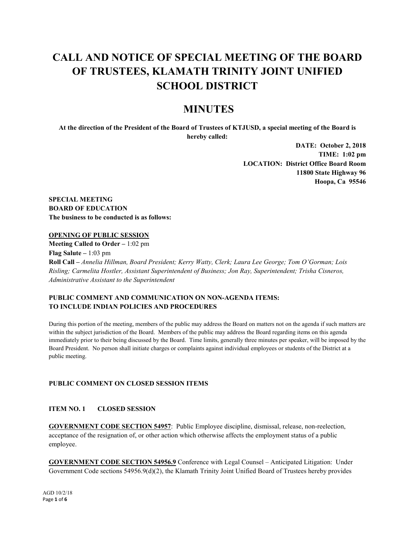# **CALL AND NOTICE OF SPECIAL MEETING OF THE BOARD OF TRUSTEES, KLAMATH TRINITY JOINT UNIFIED SCHOOL DISTRICT**

# **MINUTES**

**At the direction of the President of the Board of Trustees of KTJUSD, a special meeting of the Board is hereby called:**

> **DATE: October 2, 2018 TIME: 1:02 pm LOCATION: District Office Board Room 11800 State Highway 96 Hoopa, Ca 95546**

**SPECIAL MEETING BOARD OF EDUCATION The business to be conducted is as follows:**

# **OPENING OF PUBLIC SESSION**

**Meeting Called to Order –** 1:02 pm **Flag Salute –** 1:03 pm **Roll Call –** *Annelia Hillman, Board President; Kerry Watty, Clerk; Laura Lee George; Tom O'Gorman; Lois Risling; Carmelita Hostler, Assistant Superintendent of Business; Jon Ray, Superintendent; Trisha Cisneros, Administrative Assistant to the Superintendent*

# **PUBLIC COMMENT AND COMMUNICATION ON NON-AGENDA ITEMS: TO INCLUDE INDIAN POLICIES AND PROCEDURES**

During this portion of the meeting, members of the public may address the Board on matters not on the agenda if such matters are within the subject jurisdiction of the Board. Members of the public may address the Board regarding items on this agenda immediately prior to their being discussed by the Board. Time limits, generally three minutes per speaker, will be imposed by the Board President. No person shall initiate charges or complaints against individual employees or students of the District at a public meeting.

# **PUBLIC COMMENT ON CLOSED SESSION ITEMS**

# **ITEM NO. 1 CLOSED SESSION**

**GOVERNMENT CODE SECTION 54957**: Public Employee discipline, dismissal, release, non-reelection, acceptance of the resignation of, or other action which otherwise affects the employment status of a public employee.

**GOVERNMENT CODE SECTION 54956.9** Conference with Legal Counsel – Anticipated Litigation: Under Government Code sections 54956.9(d)(2), the Klamath Trinity Joint Unified Board of Trustees hereby provides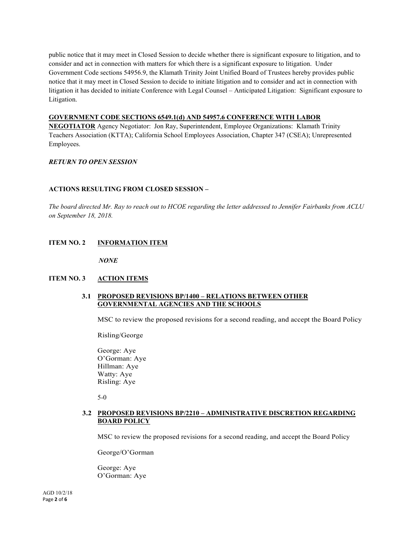public notice that it may meet in Closed Session to decide whether there is significant exposure to litigation, and to consider and act in connection with matters for which there is a significant exposure to litigation. Under Government Code sections 54956.9, the Klamath Trinity Joint Unified Board of Trustees hereby provides public notice that it may meet in Closed Session to decide to initiate litigation and to consider and act in connection with litigation it has decided to initiate Conference with Legal Counsel – Anticipated Litigation: Significant exposure to Litigation.

# **GOVERNMENT CODE SECTIONS 6549.1(d) AND 54957.6 CONFERENCE WITH LABOR**

**NEGOTIATOR** Agency Negotiator: Jon Ray, Superintendent, Employee Organizations: Klamath Trinity Teachers Association (KTTA); California School Employees Association, Chapter 347 (CSEA); Unrepresented Employees.

# *RETURN TO OPEN SESSION*

# **ACTIONS RESULTING FROM CLOSED SESSION –**

*The board directed Mr. Ray to reach out to HCOE regarding the letter addressed to Jennifer Fairbanks from ACLU on September 18, 2018.*

# **ITEM NO. 2 INFORMATION ITEM**

*NONE*

#### **ITEM NO. 3 ACTION ITEMS**

# **3.1 PROPOSED REVISIONS BP/1400 – RELATIONS BETWEEN OTHER GOVERNMENTAL AGENCIES AND THE SCHOOLS**

MSC to review the proposed revisions for a second reading, and accept the Board Policy

Risling/George

George: Aye O'Gorman: Aye Hillman: Aye Watty: Aye Risling: Aye

5-0

# **3.2 PROPOSED REVISIONS BP/2210 – ADMINISTRATIVE DISCRETION REGARDING BOARD POLICY**

MSC to review the proposed revisions for a second reading, and accept the Board Policy

George/O'Gorman

George: Aye O'Gorman: Aye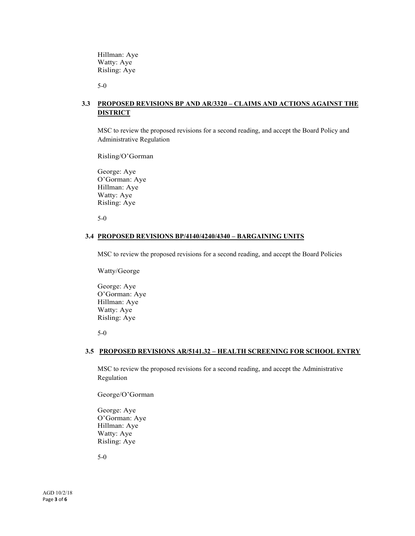Hillman: Aye Watty: Aye Risling: Aye

5-0

# **3.3 PROPOSED REVISIONS BP AND AR/3320 – CLAIMS AND ACTIONS AGAINST THE DISTRICT**

MSC to review the proposed revisions for a second reading, and accept the Board Policy and Administrative Regulation

Risling/O'Gorman

George: Aye O'Gorman: Aye Hillman: Aye Watty: Aye Risling: Aye

5-0

#### **3.4 PROPOSED REVISIONS BP/4140/4240/4340 – BARGAINING UNITS**

MSC to review the proposed revisions for a second reading, and accept the Board Policies

Watty/George

George: Aye O'Gorman: Aye Hillman: Aye Watty: Aye Risling: Aye

5-0

## **3.5 PROPOSED REVISIONS AR/5141.32 – HEALTH SCREENING FOR SCHOOL ENTRY**

MSC to review the proposed revisions for a second reading, and accept the Administrative Regulation

George/O'Gorman

George: Aye O'Gorman: Aye Hillman: Aye Watty: Aye Risling: Aye

5-0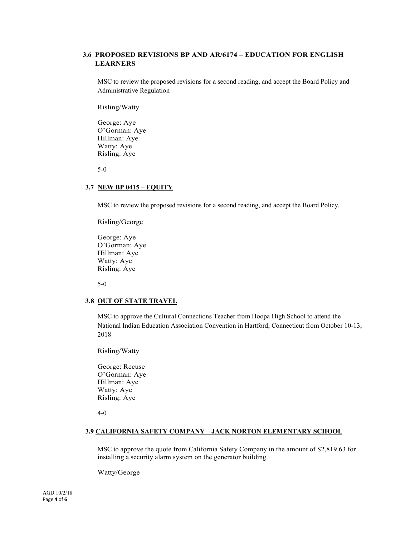# **3.6 PROPOSED REVISIONS BP AND AR/6174 – EDUCATION FOR ENGLISH LEARNERS**

MSC to review the proposed revisions for a second reading, and accept the Board Policy and Administrative Regulation

Risling/Watty

George: Aye O'Gorman: Aye Hillman: Aye Watty: Aye Risling: Aye

5-0

#### **3.7 NEW BP 0415 – EQUITY**

MSC to review the proposed revisions for a second reading, and accept the Board Policy.

Risling/George

George: Aye O'Gorman: Aye Hillman: Aye Watty: Aye Risling: Aye

5-0

# **3.8 OUT OF STATE TRAVEL**

MSC to approve the Cultural Connections Teacher from Hoopa High School to attend the National Indian Education Association Convention in Hartford, Connecticut from October 10-13, 2018

Risling/Watty

George: Recuse O'Gorman: Aye Hillman: Aye Watty: Aye Risling: Aye

4-0

#### **3.9 CALIFORNIA SAFETY COMPANY – JACK NORTON ELEMENTARY SCHOOL**

MSC to approve the quote from California Safety Company in the amount of \$2,819.63 for installing a security alarm system on the generator building.

Watty/George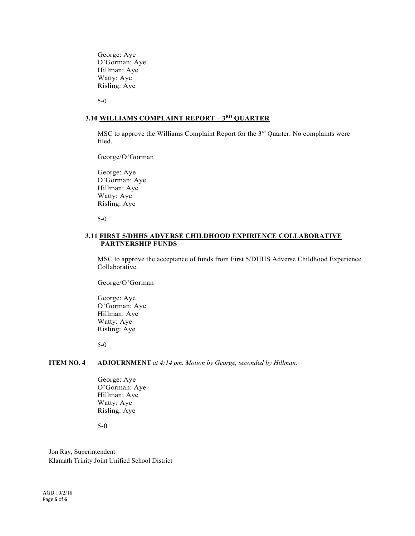George: Aye O'Gorman: Aye Hillman: Aye Watty: Aye Risling: Aye

5-0

## **3.10 WILLIAMS COMPLAINT REPORT – 3RD QUARTER**

MSC to approve the Williams Complaint Report for the 3rd Quarter. No complaints were filed.

George/O'Gorman

George: Aye O'Gorman: Aye Hillman: Aye Watty: Aye Risling: Aye

5-0

# **3.11 FIRST 5/DHHS ADVERSE CHILDHOOD EXPIRIENCE COLLABORATIVE PARTNERSHIP FUNDS**

MSC to approve the acceptance of funds from First 5/DHHS Adverse Childhood Experience Collaborative.

George/O'Gorman

George: Aye O'Gorman: Aye Hillman: Aye Watty: Aye Risling: Aye

5-0

# **ITEM NO. 4 ADJOURNMENT** *at 4:14 pm. Motion by George, seconded by Hillman.*

George: Aye O'Gorman: Aye Hillman: Aye Watty: Aye Risling: Aye

5-0

Jon Ray, Superintendent Klamath Trinity Joint Unified School District